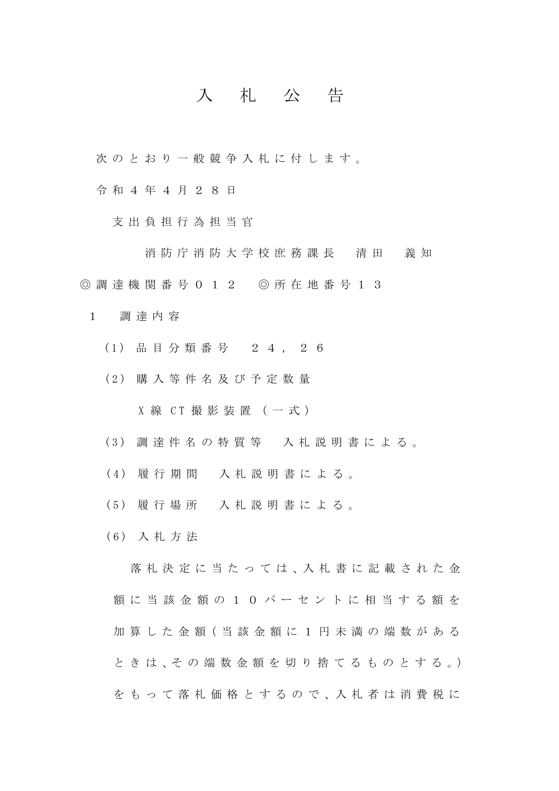## 入 札 公 告

次のとおり一般競争入札に付します。

令 和 4 年 4 月 2 8 日

支出負担行為担当官

消防庁 消防大学校庶務課長 清田 義知 ◎調達機関番号 012 ◎所在地番号 1 3

- 1 調達内容
	- (1) 品目分類番号 2 4 , 2 6
	- (2) 購入等件名及び 予 定 数 量

 $X$ 線 CT 撮影装置 (一式)

- (3) 調達件名の特質等 入札説明書による。
- (4) 履 行 期 間 入札説明書による。
- (5) 履 行 場 所 入札説明書 による 。
- (6) 入札方法

落 札 決 定 に 当 た っ て は 、入 札 書 に 記 載 さ れ た 金 額に当該金 額 の10 パーセントに相 当する額を 加 算 し た 金 額( 当 該 金 額 に 1 円 未 満 の 端 数 が あ る と き は 、そ の 端 数 金 額 を 切 り 捨 て る も の と す る 。) を も っ て 落 札 価 格 と す る の で 、入 札 者 は 消 費 税 に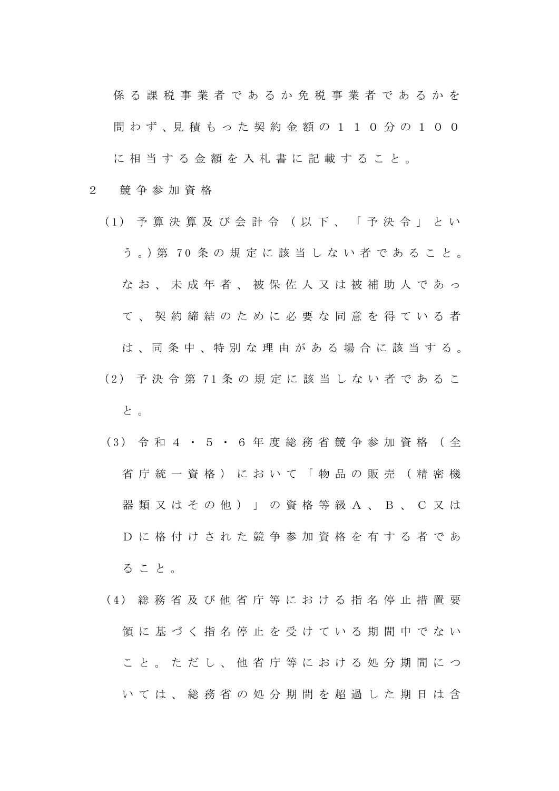係る課税事業者であるかを 問わず、見積もった契約金額の110分の100 に相当する金額を入札書に記載すること。

- 2 競争参加資格
	- (1) 予算決算及び会計令(以下 、 「予決令」とい う 。)第 7 0 条の規定に該当しない者であること。 なお、未成年者、被保佐人又は被補助人であっ て、契約締結のために必要な同意を得ている者 は 、同 条 中 、特 別 な 理 由 が あ る 場 合 に 該 当 す る 。 (2) 予決令第 7 1 条の規定に該当しない者であるこ と 。
		- (3) 令和 4 · 5 · 6 年 度 総 務 省 競 争 参 加 資 格 (全 省庁統一資格)において「物品の販売(精密機 器類又はその他) 」 の資格等級A、 B 、C又は D に格付けされた 競争参加資格を有する者であ ること。
		- (4) 総務省及び他省庁等における指名停止措置要 領に基づく指名停止を受けている期間中でない こと。 ただし、他省庁等における処分期間につ いては、総務省の処分期間を超過した期日は含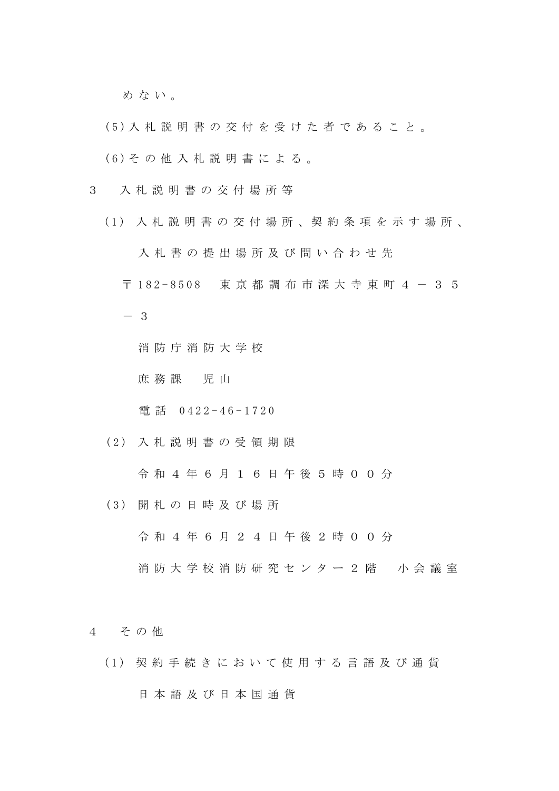めない。

- (5) 入札説明書の交付を受けた者であること。
- (6) その他入札説明書による。
- 3 入 札 説明書の交付場所等
	- (1) 入 札 説 明 書 の 交 付 場 所 、契 約 条 項 を 示 す 場 所 、

入札書の提出場所及び問い合わせ先

- 〒 182 8508 東京都調布市深大寺東町4-35
- 3

消防庁消防大学校

庶務課 児 山

電 話 0422 - 4 6 - 1 7 2 0

( 2 ) 入 札 説 明 書の受領期限

令 和 4 年 6 月 1 6 日 午 後 5 時 0 0 分

( 3 ) 開札の日時及び場所

令 和 4 年 6 月 2 4 日 午 後 2 時 0 0 分

- 消防大学校 消防研究センター2階 小会議室
- 4 その他
	- (1) 契約手続きにおいて使用する言語及び通貨

## 日本語及び日本 国 通 貨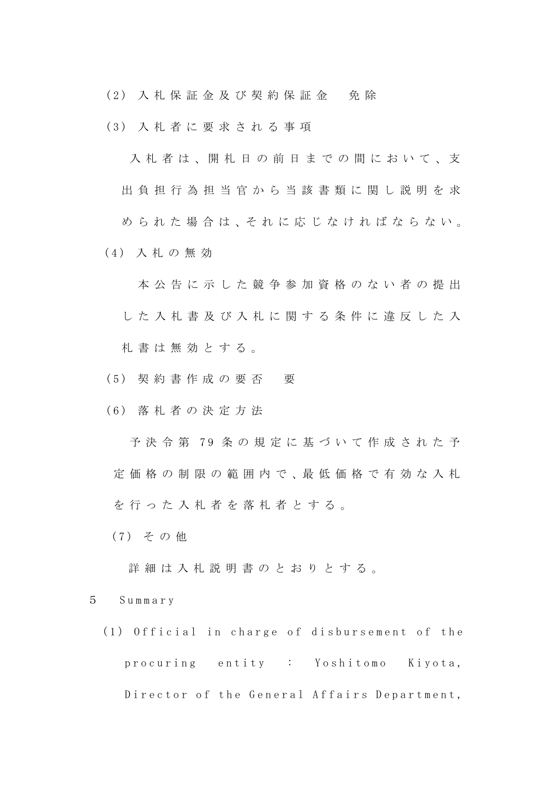(2) 入札保証金及び契約保証金 免 除

(3) 入札者に要求される事項

入札者は、開札日の前日までの間において、支 出負担行為担当官から当該書類に関し説明を求 め ら れ た 場 合 は、そ れ に 応 じ な け れ ば な ら な い。 (4) 入札の無効

本公告に示した競争参加資格のない者の提出 した入札書及び入札に関する条件に違反した入 札 書 は無効とする。

- (5) 契約書作成の要否 要
- (6) 落札者の決定方法

予決令第 79 条の規定に基づいて作成された予 定価格の制限の範囲内で 、最 低 価 格 で 有 効 な 入 札 を行った入札者を落札者とする。

(7) その他

詳細は入札説明書のとおりとする。

5 Summary

(1) Official in charge of disbursement of the procuring entity : Yoshitomo Kiyota, Director of the General Affairs Department,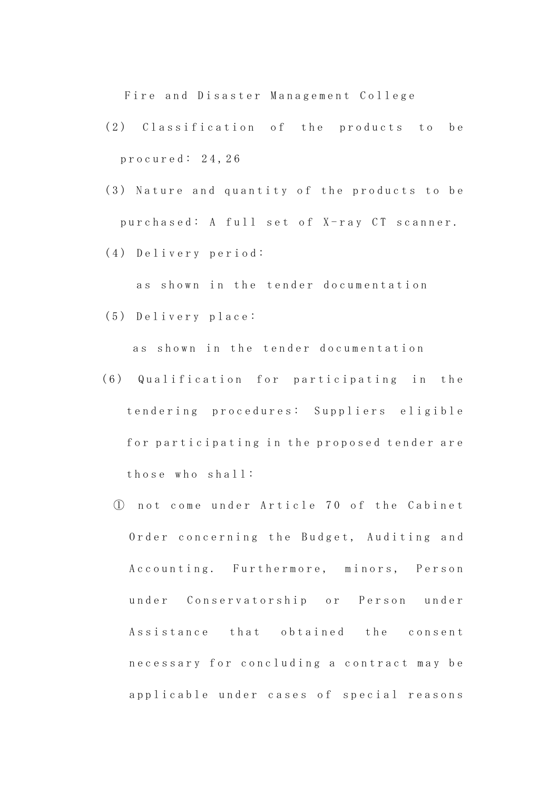Fire and Disaster Management College

- (2) Classifi cation of the products to be p rocured: 2 4 , 2 6
- (3) Nature and quantity of the products to be purchased: A full set of X-ray CT scanner.
- (4) Delivery period:

as shown in the tender documentation

(5) Delivery place:

as shown in the tender documentation

- (6) Qu alification for participating in the tendering procedures: Suppliers eligible for participating in the proposed tender are those who shall:
	- ① not come under Article 70 of the Cabinet Order concerning the Budget, Auditing and Accounting. Furthermore, minors, Person under Conservatorship or Person under Assistance that obtained the consent necessary for concluding a contract may be applicable under cases of special reasons